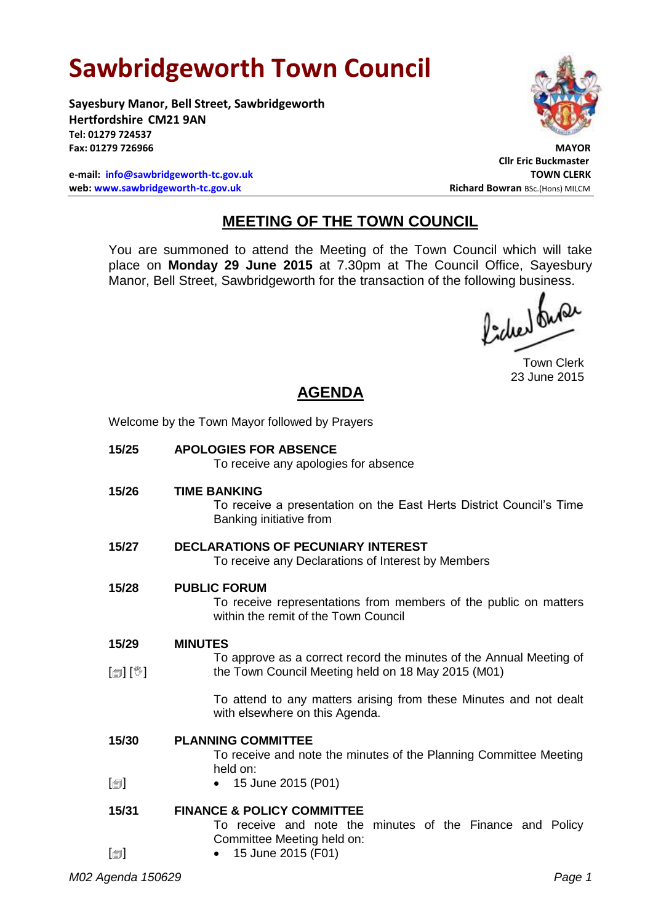# **Sawbridgeworth Town Council**

Welcome by the Town Mayor followed by Prayers

**Sayesbury Manor, Bell Street, Sawbridgeworth Hertfordshire CM21 9AN Tel: 01279 724537 Fax: 01279 726966 MAYOR**

**e-mail: [info@sawbridgeworth-tc.gov.uk](mailto:info@sawbridgeworth-tc.gov.uk) TOWN CLERK web: www.sawbridgeworth-tc.gov.uk Richard Bowran BSc.(Hons) MILCM Richard Bowran BSc.(Hons) MILCM** 



**Cllr Eric Buckmaster**

## **MEETING OF THE TOWN COUNCIL**

You are summoned to attend the Meeting of the Town Council which will take place on **Monday 29 June 2015** at 7.30pm at The Council Office, Sayesbury Manor, Bell Street, Sawbridgeworth for the transaction of the following business.<br>  $\int_{\mathbb{R}^2} \int_{\mathbb{R}^2} \int_{\mathbb{R}^2} \int_{\mathbb{R}^2} \int_{\mathbb{R}^2}$ 

Town Clerk 23 June 2015

# **AGENDA**

| 15/25      | <b>APOLOGIES FOR ABSENCE</b><br>To receive any apologies for absence                                                            |
|------------|---------------------------------------------------------------------------------------------------------------------------------|
| 15/26      | <b>TIME BANKING</b><br>To receive a presentation on the East Herts District Council's Time<br>Banking initiative from           |
| 15/27      | <b>DECLARATIONS OF PECUNIARY INTEREST</b><br>To receive any Declarations of Interest by Members                                 |
| 15/28      | <b>PUBLIC FORUM</b><br>To receive representations from members of the public on matters<br>within the remit of the Town Council |
| 15/29      | <b>MINUTES</b>                                                                                                                  |
|            | To approve as a correct record the minutes of the Annual Meeting of                                                             |
| [@] [V]    | the Town Council Meeting held on 18 May 2015 (M01)                                                                              |
|            | To attend to any matters arising from these Minutes and not dealt<br>with elsewhere on this Agenda.                             |
| 15/30      | <b>PLANNING COMMITTEE</b>                                                                                                       |
|            | To receive and note the minutes of the Planning Committee Meeting                                                               |
|            | held on:                                                                                                                        |
| $\boxplus$ | • 15 June 2015 (P01)                                                                                                            |
| 15/31      | <b>FINANCE &amp; POLICY COMMITTEE</b>                                                                                           |
|            | To receive and note the minutes of the Finance and Policy                                                                       |
|            | Committee Meeting held on:                                                                                                      |
| [@]        | 15 June 2015 (F01)                                                                                                              |